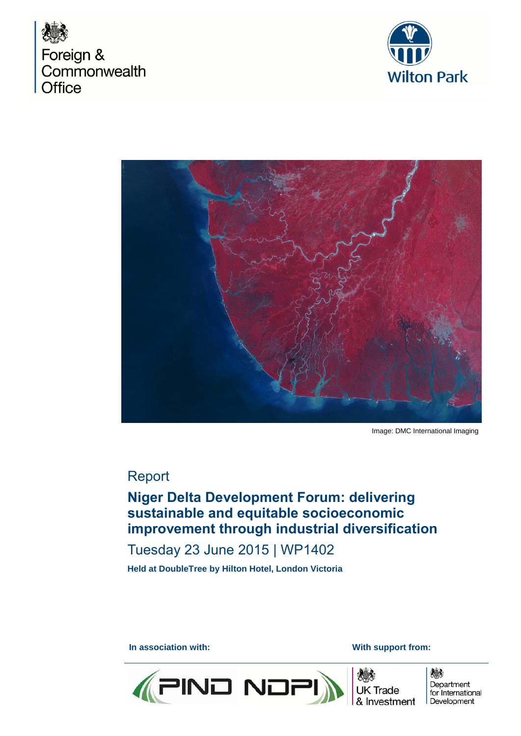





Image: DMC International Imaging

## Report

# **Niger Delta Development Forum: delivering sustainable and equitable socioeconomic improvement through industrial diversification**

## Tuesday 23 June 2015 | WP1402

**Held at DoubleTree by Hilton Hotel, London Victoria** 

**In association with: With support from: With support from: With support from:** 





嫌 Department for International Development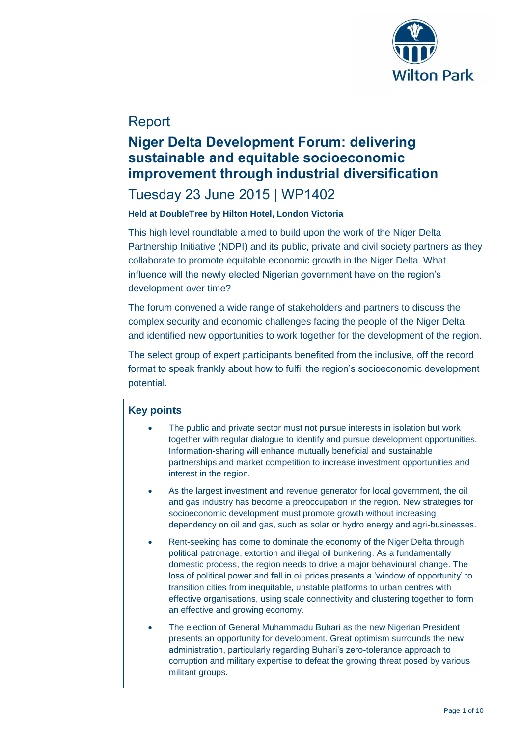

# Report

# **Niger Delta Development Forum: delivering sustainable and equitable socioeconomic improvement through industrial diversification**

## Tuesday 23 June 2015 | WP1402

### **Held at DoubleTree by Hilton Hotel, London Victoria**

This high level roundtable aimed to build upon the work of the Niger Delta Partnership Initiative (NDPI) and its public, private and civil society partners as they collaborate to promote equitable economic growth in the Niger Delta. What influence will the newly elected Nigerian government have on the region's development over time?

The forum convened a wide range of stakeholders and partners to discuss the complex security and economic challenges facing the people of the Niger Delta and identified new opportunities to work together for the development of the region.

The select group of expert participants benefited from the inclusive, off the record format to speak frankly about how to fulfil the region's socioeconomic development potential.

## **Key points**

- The public and private sector must not pursue interests in isolation but work together with regular dialogue to identify and pursue development opportunities. Information-sharing will enhance mutually beneficial and sustainable partnerships and market competition to increase investment opportunities and interest in the region.
- As the largest investment and revenue generator for local government, the oil and gas industry has become a preoccupation in the region. New strategies for socioeconomic development must promote growth without increasing dependency on oil and gas, such as solar or hydro energy and agri-businesses.
- Rent-seeking has come to dominate the economy of the Niger Delta through political patronage, extortion and illegal oil bunkering. As a fundamentally domestic process, the region needs to drive a major behavioural change. The loss of political power and fall in oil prices presents a 'window of opportunity' to transition cities from inequitable, unstable platforms to urban centres with effective organisations, using scale connectivity and clustering together to form an effective and growing economy.
- The election of General Muhammadu Buhari as the new Nigerian President presents an opportunity for development. Great optimism surrounds the new administration, particularly regarding Buhari's zero-tolerance approach to corruption and military expertise to defeat the growing threat posed by various militant groups.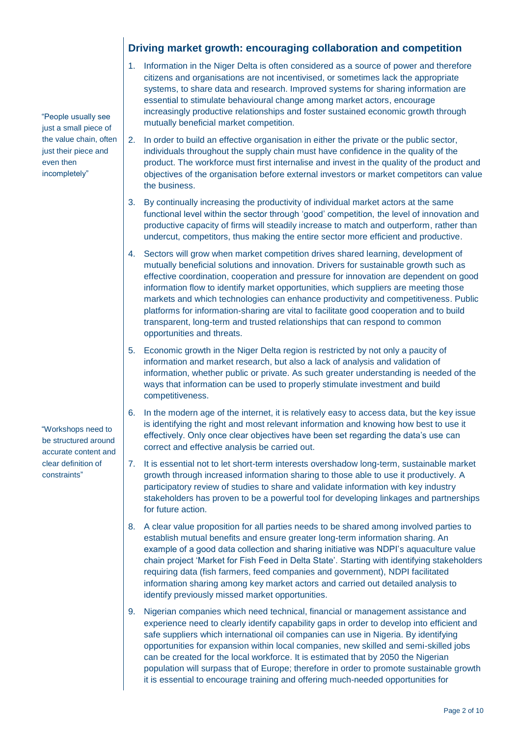"People usually see just a small piece of the value chain, often just their piece and even then incompletely"

 "Workshops need to be structured around accurate content and clear definition of constraints"

### **Driving market growth: encouraging collaboration and competition**

- 1. Information in the Niger Delta is often considered as a source of power and therefore citizens and organisations are not incentivised, or sometimes lack the appropriate systems, to share data and research. Improved systems for sharing information are essential to stimulate behavioural change among market actors, encourage increasingly productive relationships and foster sustained economic growth through mutually beneficial market competition.
- 2. In order to build an effective organisation in either the private or the public sector, individuals throughout the supply chain must have confidence in the quality of the product. The workforce must first internalise and invest in the quality of the product and objectives of the organisation before external investors or market competitors can value the business.
- 3. By continually increasing the productivity of individual market actors at the same functional level within the sector through 'good' competition, the level of innovation and productive capacity of firms will steadily increase to match and outperform, rather than undercut, competitors, thus making the entire sector more efficient and productive.
- 4. Sectors will grow when market competition drives shared learning, development of mutually beneficial solutions and innovation. Drivers for sustainable growth such as effective coordination, cooperation and pressure for innovation are dependent on good information flow to identify market opportunities, which suppliers are meeting those markets and which technologies can enhance productivity and competitiveness. Public platforms for information-sharing are vital to facilitate good cooperation and to build transparent, long-term and trusted relationships that can respond to common opportunities and threats.
- 5. Economic growth in the Niger Delta region is restricted by not only a paucity of information and market research, but also a lack of analysis and validation of information, whether public or private. As such greater understanding is needed of the ways that information can be used to properly stimulate investment and build competitiveness.
- 6. In the modern age of the internet, it is relatively easy to access data, but the key issue is identifying the right and most relevant information and knowing how best to use it effectively. Only once clear objectives have been set regarding the data's use can correct and effective analysis be carried out.
- 7. It is essential not to let short-term interests overshadow long-term, sustainable market growth through increased information sharing to those able to use it productively. A participatory review of studies to share and validate information with key industry stakeholders has proven to be a powerful tool for developing linkages and partnerships for future action.
- 8. A clear value proposition for all parties needs to be shared among involved parties to establish mutual benefits and ensure greater long-term information sharing. An example of a good data collection and sharing initiative was NDPI's aquaculture value chain project 'Market for Fish Feed in Delta State'. Starting with identifying stakeholders requiring data (fish farmers, feed companies and government), NDPI facilitated information sharing among key market actors and carried out detailed analysis to identify previously missed market opportunities.
- 9. Nigerian companies which need technical, financial or management assistance and experience need to clearly identify capability gaps in order to develop into efficient and safe suppliers which international oil companies can use in Nigeria. By identifying opportunities for expansion within local companies, new skilled and semi-skilled jobs can be created for the local workforce. It is estimated that by 2050 the Nigerian population will surpass that of Europe; therefore in order to promote sustainable growth it is essential to encourage training and offering much-needed opportunities for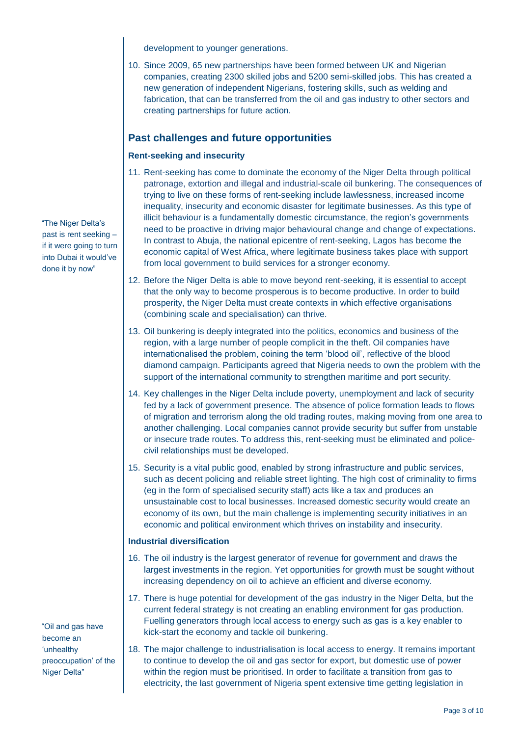development to younger generations.

10. Since 2009, 65 new partnerships have been formed between UK and Nigerian companies, creating 2300 skilled jobs and 5200 semi-skilled jobs. This has created a new generation of independent Nigerians, fostering skills, such as welding and fabrication, that can be transferred from the oil and gas industry to other sectors and creating partnerships for future action.

### **Past challenges and future opportunities**

#### **Rent-seeking and insecurity**

- 11. Rent-seeking has come to dominate the economy of the Niger Delta through political patronage, extortion and illegal and industrial-scale oil bunkering. The consequences of trying to live on these forms of rent-seeking include lawlessness, increased income inequality, insecurity and economic disaster for legitimate businesses. As this type of illicit behaviour is a fundamentally domestic circumstance, the region's governments need to be proactive in driving major behavioural change and change of expectations. In contrast to Abuja, the national epicentre of rent-seeking, Lagos has become the economic capital of West Africa, where legitimate business takes place with support from local government to build services for a stronger economy.
- 12. Before the Niger Delta is able to move beyond rent-seeking, it is essential to accept that the only way to become prosperous is to become productive. In order to build prosperity, the Niger Delta must create contexts in which effective organisations (combining scale and specialisation) can thrive.
- 13. Oil bunkering is deeply integrated into the politics, economics and business of the region, with a large number of people complicit in the theft. Oil companies have internationalised the problem, coining the term 'blood oil', reflective of the blood diamond campaign. Participants agreed that Nigeria needs to own the problem with the support of the international community to strengthen maritime and port security.
- 14. Key challenges in the Niger Delta include poverty, unemployment and lack of security fed by a lack of government presence. The absence of police formation leads to flows of migration and terrorism along the old trading routes, making moving from one area to another challenging. Local companies cannot provide security but suffer from unstable or insecure trade routes. To address this, rent-seeking must be eliminated and policecivil relationships must be developed.
- 15. Security is a vital public good, enabled by strong infrastructure and public services, such as decent policing and reliable street lighting. The high cost of criminality to firms (eg in the form of specialised security staff) acts like a tax and produces an unsustainable cost to local businesses. Increased domestic security would create an economy of its own, but the main challenge is implementing security initiatives in an economic and political environment which thrives on instability and insecurity.

#### **Industrial diversification**

- 16. The oil industry is the largest generator of revenue for government and draws the largest investments in the region. Yet opportunities for growth must be sought without increasing dependency on oil to achieve an efficient and diverse economy.
- 17. There is huge potential for development of the gas industry in the Niger Delta, but the current federal strategy is not creating an enabling environment for gas production. Fuelling generators through local access to energy such as gas is a key enabler to kick-start the economy and tackle oil bunkering.
- 18. The major challenge to industrialisation is local access to energy. It remains important to continue to develop the oil and gas sector for export, but domestic use of power within the region must be prioritised. In order to facilitate a transition from gas to electricity, the last government of Nigeria spent extensive time getting legislation in

 "The Niger Delta's past is rent seeking – if it were going to turn into Dubai it would've done it by now"

 "Oil and gas have become an 'unhealthy preoccupation' of the Niger Delta"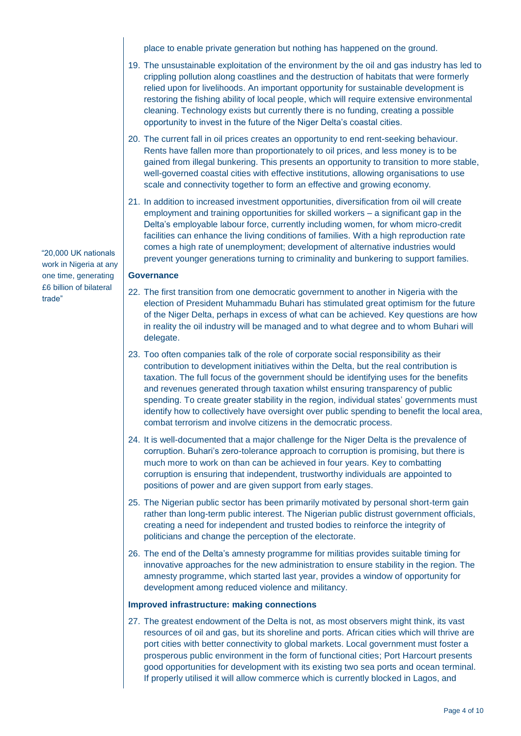place to enable private generation but nothing has happened on the ground.

- 19. The unsustainable exploitation of the environment by the oil and gas industry has led to crippling pollution along coastlines and the destruction of habitats that were formerly relied upon for livelihoods. An important opportunity for sustainable development is restoring the fishing ability of local people, which will require extensive environmental cleaning. Technology exists but currently there is no funding, creating a possible opportunity to invest in the future of the Niger Delta's coastal cities.
- 20. The current fall in oil prices creates an opportunity to end rent-seeking behaviour. Rents have fallen more than proportionately to oil prices, and less money is to be gained from illegal bunkering. This presents an opportunity to transition to more stable, well-governed coastal cities with effective institutions, allowing organisations to use scale and connectivity together to form an effective and growing economy.
- 21. In addition to increased investment opportunities, diversification from oil will create employment and training opportunities for skilled workers – a significant gap in the Delta's employable labour force, currently including women, for whom micro-credit facilities can enhance the living conditions of families. With a high reproduction rate comes a high rate of unemployment; development of alternative industries would prevent younger generations turning to criminality and bunkering to support families.

#### **Governance**

- 22. The first transition from one democratic government to another in Nigeria with the election of President Muhammadu Buhari has stimulated great optimism for the future of the Niger Delta, perhaps in excess of what can be achieved. Key questions are how in reality the oil industry will be managed and to what degree and to whom Buhari will delegate.
- 23. Too often companies talk of the role of corporate social responsibility as their contribution to development initiatives within the Delta, but the real contribution is taxation. The full focus of the government should be identifying uses for the benefits and revenues generated through taxation whilst ensuring transparency of public spending. To create greater stability in the region, individual states' governments must identify how to collectively have oversight over public spending to benefit the local area, combat terrorism and involve citizens in the democratic process.
- 24. It is well-documented that a major challenge for the Niger Delta is the prevalence of corruption. Buhari's zero-tolerance approach to corruption is promising, but there is much more to work on than can be achieved in four years. Key to combatting corruption is ensuring that independent, trustworthy individuals are appointed to positions of power and are given support from early stages.
- 25. The Nigerian public sector has been primarily motivated by personal short-term gain rather than long-term public interest. The Nigerian public distrust government officials, creating a need for independent and trusted bodies to reinforce the integrity of politicians and change the perception of the electorate.
- 26. The end of the Delta's amnesty programme for militias provides suitable timing for innovative approaches for the new administration to ensure stability in the region. The amnesty programme, which started last year, provides a window of opportunity for development among reduced violence and militancy.

#### **Improved infrastructure: making connections**

27. The greatest endowment of the Delta is not, as most observers might think, its vast resources of oil and gas, but its shoreline and ports. African cities which will thrive are port cities with better connectivity to global markets. Local government must foster a prosperous public environment in the form of functional cities; Port Harcourt presents good opportunities for development with its existing two sea ports and ocean terminal. If properly utilised it will allow commerce which is currently blocked in Lagos, and

 "20,000 UK nationals work in Nigeria at any one time, generating £6 billion of bilateral trade"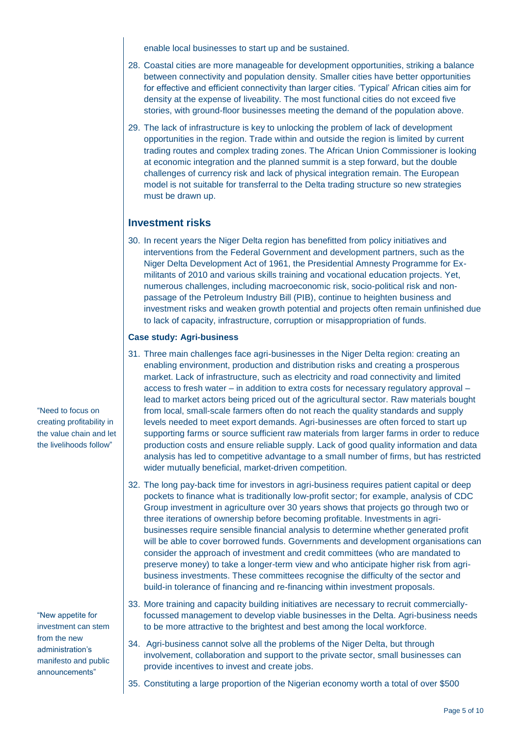enable local businesses to start up and be sustained.

- 28. Coastal cities are more manageable for development opportunities, striking a balance between connectivity and population density. Smaller cities have better opportunities for effective and efficient connectivity than larger cities. 'Typical' African cities aim for density at the expense of liveability. The most functional cities do not exceed five stories, with ground-floor businesses meeting the demand of the population above.
- 29. The lack of infrastructure is key to unlocking the problem of lack of development opportunities in the region. Trade within and outside the region is limited by current trading routes and complex trading zones. The African Union Commissioner is looking at economic integration and the planned summit is a step forward, but the double challenges of currency risk and lack of physical integration remain. The European model is not suitable for transferral to the Delta trading structure so new strategies must be drawn up.

### **Investment risks**

30. In recent years the Niger Delta region has benefitted from policy initiatives and interventions from the Federal Government and development partners, such as the Niger Delta Development Act of 1961, the Presidential Amnesty Programme for Exmilitants of 2010 and various skills training and vocational education projects. Yet, numerous challenges, including macroeconomic risk, socio-political risk and nonpassage of the Petroleum Industry Bill (PIB), continue to heighten business and investment risks and weaken growth potential and projects often remain unfinished due to lack of capacity, infrastructure, corruption or misappropriation of funds.

#### **Case study: Agri-business**

- 31. Three main challenges face agri-businesses in the Niger Delta region: creating an enabling environment, production and distribution risks and creating a prosperous market. Lack of infrastructure, such as electricity and road connectivity and limited access to fresh water – in addition to extra costs for necessary regulatory approval – lead to market actors being priced out of the agricultural sector. Raw materials bought from local, small-scale farmers often do not reach the quality standards and supply levels needed to meet export demands. Agri-businesses are often forced to start up supporting farms or source sufficient raw materials from larger farms in order to reduce production costs and ensure reliable supply. Lack of good quality information and data analysis has led to competitive advantage to a small number of firms, but has restricted wider mutually beneficial, market-driven competition.
- 32. The long pay-back time for investors in agri-business requires patient capital or deep pockets to finance what is traditionally low-profit sector; for example, analysis of CDC Group investment in agriculture over 30 years shows that projects go through two or three iterations of ownership before becoming profitable. Investments in agribusinesses require sensible financial analysis to determine whether generated profit will be able to cover borrowed funds. Governments and development organisations can consider the approach of investment and credit committees (who are mandated to preserve money) to take a longer-term view and who anticipate higher risk from agribusiness investments. These committees recognise the difficulty of the sector and build-in tolerance of financing and re-financing within investment proposals.
- 33. More training and capacity building initiatives are necessary to recruit commerciallyfocussed management to develop viable businesses in the Delta. Agri-business needs to be more attractive to the brightest and best among the local workforce.
- 34. Agri-business cannot solve all the problems of the Niger Delta, but through involvement, collaboration and support to the private sector, small businesses can provide incentives to invest and create jobs.
- 35. Constituting a large proportion of the Nigerian economy worth a total of over \$500

"Need to focus on creating profitability in the value chain and let the livelihoods follow"

"New appetite for investment can stem from the new administration's manifesto and public announcements"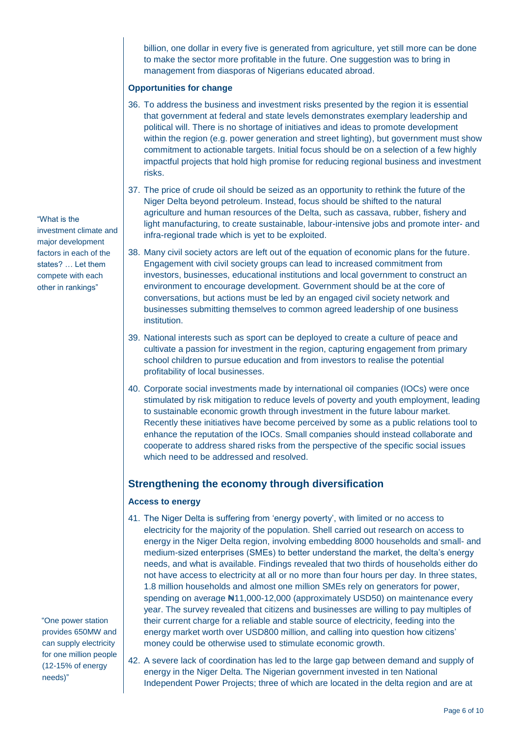billion, one dollar in every five is generated from agriculture, yet still more can be done to make the sector more profitable in the future. One suggestion was to bring in management from diasporas of Nigerians educated abroad.

#### **Opportunities for change**

- 36. To address the business and investment risks presented by the region it is essential that government at federal and state levels demonstrates exemplary leadership and political will. There is no shortage of initiatives and ideas to promote development within the region (e.g. power generation and street lighting), but government must show commitment to actionable targets. Initial focus should be on a selection of a few highly impactful projects that hold high promise for reducing regional business and investment risks.
- 37. The price of crude oil should be seized as an opportunity to rethink the future of the Niger Delta beyond petroleum. Instead, focus should be shifted to the natural agriculture and human resources of the Delta, such as cassava, rubber, fishery and light manufacturing, to create sustainable, labour-intensive jobs and promote inter- and infra-regional trade which is yet to be exploited.
- 38. Many civil society actors are left out of the equation of economic plans for the future. Engagement with civil society groups can lead to increased commitment from investors, businesses, educational institutions and local government to construct an environment to encourage development. Government should be at the core of conversations, but actions must be led by an engaged civil society network and businesses submitting themselves to common agreed leadership of one business institution.
- 39. National interests such as sport can be deployed to create a culture of peace and cultivate a passion for investment in the region, capturing engagement from primary school children to pursue education and from investors to realise the potential profitability of local businesses.
- 40. Corporate social investments made by international oil companies (IOCs) were once stimulated by risk mitigation to reduce levels of poverty and youth employment, leading to sustainable economic growth through investment in the future labour market. Recently these initiatives have become perceived by some as a public relations tool to enhance the reputation of the IOCs. Small companies should instead collaborate and cooperate to address shared risks from the perspective of the specific social issues which need to be addressed and resolved.

#### **Strengthening the economy through diversification**

#### **Access to energy**

- 41. The Niger Delta is suffering from 'energy poverty', with limited or no access to electricity for the majority of the population. Shell carried out research on access to energy in the Niger Delta region, involving embedding 8000 households and small- and medium-sized enterprises (SMEs) to better understand the market, the delta's energy needs, and what is available. Findings revealed that two thirds of households either do not have access to electricity at all or no more than four hours per day. In three states, 1.8 million households and almost one million SMEs rely on generators for power, spending on average ₦11,000-12,000 (approximately USD50) on maintenance every year. The survey revealed that citizens and businesses are willing to pay multiples of their current charge for a reliable and stable source of electricity, feeding into the energy market worth over USD800 million, and calling into question how citizens' money could be otherwise used to stimulate economic growth.
- 42. A severe lack of coordination has led to the large gap between demand and supply of energy in the Niger Delta. The Nigerian government invested in ten National Independent Power Projects; three of which are located in the delta region and are at

"What is the investment climate and major development factors in each of the states? … Let them compete with each

other in rankings"

 "One power station provides 650MW and can supply electricity for one million people (12-15% of energy needs)"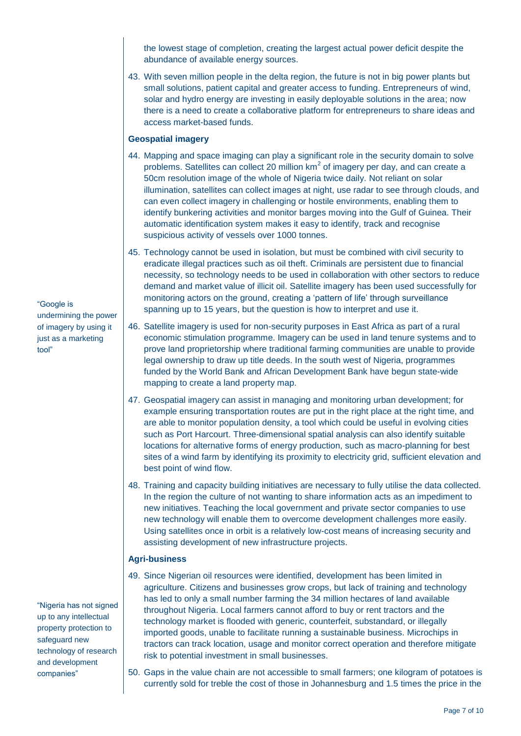the lowest stage of completion, creating the largest actual power deficit despite the abundance of available energy sources.

43. With seven million people in the delta region, the future is not in big power plants but small solutions, patient capital and greater access to funding. Entrepreneurs of wind, solar and hydro energy are investing in easily deployable solutions in the area; now there is a need to create a collaborative platform for entrepreneurs to share ideas and access market-based funds.

#### **Geospatial imagery**

- 44. Mapping and space imaging can play a significant role in the security domain to solve problems. Satellites can collect 20 million  $km^2$  of imagery per day, and can create a 50cm resolution image of the whole of Nigeria twice daily. Not reliant on solar illumination, satellites can collect images at night, use radar to see through clouds, and can even collect imagery in challenging or hostile environments, enabling them to identify bunkering activities and monitor barges moving into the Gulf of Guinea. Their automatic identification system makes it easy to identify, track and recognise suspicious activity of vessels over 1000 tonnes.
- 45. Technology cannot be used in isolation, but must be combined with civil security to eradicate illegal practices such as oil theft. Criminals are persistent due to financial necessity, so technology needs to be used in collaboration with other sectors to reduce demand and market value of illicit oil. Satellite imagery has been used successfully for monitoring actors on the ground, creating a 'pattern of life' through surveillance spanning up to 15 years, but the question is how to interpret and use it.
- 46. Satellite imagery is used for non-security purposes in East Africa as part of a rural economic stimulation programme. Imagery can be used in land tenure systems and to prove land proprietorship where traditional farming communities are unable to provide legal ownership to draw up title deeds. In the south west of Nigeria, programmes funded by the World Bank and African Development Bank have begun state-wide mapping to create a land property map.
- 47. Geospatial imagery can assist in managing and monitoring urban development; for example ensuring transportation routes are put in the right place at the right time, and are able to monitor population density, a tool which could be useful in evolving cities such as Port Harcourt. Three-dimensional spatial analysis can also identify suitable locations for alternative forms of energy production, such as macro-planning for best sites of a wind farm by identifying its proximity to electricity grid, sufficient elevation and best point of wind flow.
- 48. Training and capacity building initiatives are necessary to fully utilise the data collected. In the region the culture of not wanting to share information acts as an impediment to new initiatives. Teaching the local government and private sector companies to use new technology will enable them to overcome development challenges more easily. Using satellites once in orbit is a relatively low-cost means of increasing security and assisting development of new infrastructure projects.

#### **Agri-business**

- 49. Since Nigerian oil resources were identified, development has been limited in agriculture. Citizens and businesses grow crops, but lack of training and technology has led to only a small number farming the 34 million hectares of land available throughout Nigeria. Local farmers cannot afford to buy or rent tractors and the technology market is flooded with generic, counterfeit, substandard, or illegally imported goods, unable to facilitate running a sustainable business. Microchips in tractors can track location, usage and monitor correct operation and therefore mitigate risk to potential investment in small businesses.
- 50. Gaps in the value chain are not accessible to small farmers; one kilogram of potatoes is currently sold for treble the cost of those in Johannesburg and 1.5 times the price in the

"Google is undermining the power of imagery by using it just as a marketing tool"

"Nigeria has not signed up to any intellectual property protection to safeguard new technology of research and development companies"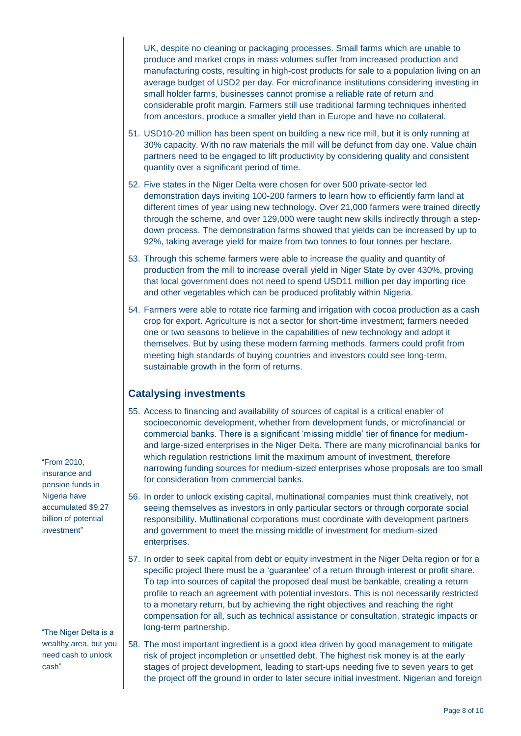UK, despite no cleaning or packaging processes. Small farms which are unable to produce and market crops in mass volumes suffer from increased production and manufacturing costs, resulting in high-cost products for sale to a population living on an average budget of USD2 per day. For microfinance institutions considering investing in small holder farms, businesses cannot promise a reliable rate of return and considerable profit margin. Farmers still use traditional farming techniques inherited from ancestors, produce a smaller yield than in Europe and have no collateral.

- 51. USD10-20 million has been spent on building a new rice mill, but it is only running at 30% capacity. With no raw materials the mill will be defunct from day one. Value chain partners need to be engaged to lift productivity by considering quality and consistent quantity over a significant period of time.
- 52. Five states in the Niger Delta were chosen for over 500 private-sector led demonstration days inviting 100-200 farmers to learn how to efficiently farm land at different times of year using new technology. Over 21,000 farmers were trained directly through the scheme, and over 129,000 were taught new skills indirectly through a stepdown process. The demonstration farms showed that yields can be increased by up to 92%, taking average yield for maize from two tonnes to four tonnes per hectare.
- 53. Through this scheme farmers were able to increase the quality and quantity of production from the mill to increase overall yield in Niger State by over 430%, proving that local government does not need to spend USD11 million per day importing rice and other vegetables which can be produced profitably within Nigeria.
- 54. Farmers were able to rotate rice farming and irrigation with cocoa production as a cash crop for export. Agriculture is not a sector for short-time investment; farmers needed one or two seasons to believe in the capabilities of new technology and adopt it themselves. But by using these modern farming methods, farmers could profit from meeting high standards of buying countries and investors could see long-term, sustainable growth in the form of returns.

## **Catalysing investments**

- 55. Access to financing and availability of sources of capital is a critical enabler of socioeconomic development, whether from development funds, or microfinancial or commercial banks. There is a significant 'missing middle' tier of finance for mediumand large-sized enterprises in the Niger Delta. There are many microfinancial banks for which regulation restrictions limit the maximum amount of investment, therefore narrowing funding sources for medium-sized enterprises whose proposals are too small for consideration from commercial banks.
- 56. In order to unlock existing capital, multinational companies must think creatively, not seeing themselves as investors in only particular sectors or through corporate social responsibility. Multinational corporations must coordinate with development partners and government to meet the missing middle of investment for medium-sized enterprises.
- 57. In order to seek capital from debt or equity investment in the Niger Delta region or for a specific project there must be a 'guarantee' of a return through interest or profit share. To tap into sources of capital the proposed deal must be bankable, creating a return profile to reach an agreement with potential investors. This is not necessarily restricted to a monetary return, but by achieving the right objectives and reaching the right compensation for all, such as technical assistance or consultation, strategic impacts or long-term partnership.
- 58. The most important ingredient is a good idea driven by good management to mitigate risk of project incompletion or unsettled debt. The highest risk money is at the early stages of project development, leading to start-ups needing five to seven years to get the project off the ground in order to later secure initial investment. Nigerian and foreign

 "From 2010, insurance and pension funds in Nigeria have accumulated \$9.27 billion of potential investment"

 "The Niger Delta is a wealthy area, but you need cash to unlock cash"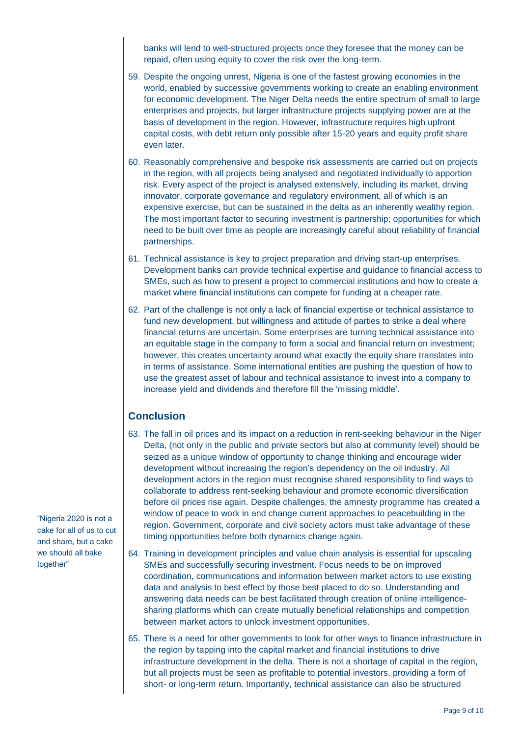banks will lend to well-structured projects once they foresee that the money can be repaid, often using equity to cover the risk over the long-term.

- 59. Despite the ongoing unrest, Nigeria is one of the fastest growing economies in the world, enabled by successive governments working to create an enabling environment for economic development. The Niger Delta needs the entire spectrum of small to large enterprises and projects, but larger infrastructure projects supplying power are at the basis of development in the region. However, infrastructure requires high upfront capital costs, with debt return only possible after 15-20 years and equity profit share even later.
- 60. Reasonably comprehensive and bespoke risk assessments are carried out on projects in the region, with all projects being analysed and negotiated individually to apportion risk. Every aspect of the project is analysed extensively, including its market, driving innovator, corporate governance and regulatory environment, all of which is an expensive exercise, but can be sustained in the delta as an inherently wealthy region. The most important factor to securing investment is partnership; opportunities for which need to be built over time as people are increasingly careful about reliability of financial partnerships.
- 61. Technical assistance is key to project preparation and driving start-up enterprises. Development banks can provide technical expertise and guidance to financial access to SMEs, such as how to present a project to commercial institutions and how to create a market where financial institutions can compete for funding at a cheaper rate.
- 62. Part of the challenge is not only a lack of financial expertise or technical assistance to fund new development, but willingness and attitude of parties to strike a deal where financial returns are uncertain. Some enterprises are turning technical assistance into an equitable stage in the company to form a social and financial return on investment; however, this creates uncertainty around what exactly the equity share translates into in terms of assistance. Some international entities are pushing the question of how to use the greatest asset of labour and technical assistance to invest into a company to increase yield and dividends and therefore fill the 'missing middle'.

### **Conclusion**

- 63. The fall in oil prices and its impact on a reduction in rent-seeking behaviour in the Niger Delta, (not only in the public and private sectors but also at community level) should be seized as a unique window of opportunity to change thinking and encourage wider development without increasing the region's dependency on the oil industry. All development actors in the region must recognise shared responsibility to find ways to collaborate to address rent-seeking behaviour and promote economic diversification before oil prices rise again. Despite challenges, the amnesty programme has created a window of peace to work in and change current approaches to peacebuilding in the region. Government, corporate and civil society actors must take advantage of these timing opportunities before both dynamics change again.
- 64. Training in development principles and value chain analysis is essential for upscaling SMEs and successfully securing investment. Focus needs to be on improved coordination, communications and information between market actors to use existing data and analysis to best effect by those best placed to do so. Understanding and answering data needs can be best facilitated through creation of online intelligencesharing platforms which can create mutually beneficial relationships and competition between market actors to unlock investment opportunities.
- 65. There is a need for other governments to look for other ways to finance infrastructure in the region by tapping into the capital market and financial institutions to drive infrastructure development in the delta. There is not a shortage of capital in the region, but all projects must be seen as profitable to potential investors, providing a form of short- or long-term return. Importantly, technical assistance can also be structured

"Nigeria 2020 is not a cake for all of us to cut and share, but a cake we should all bake together"